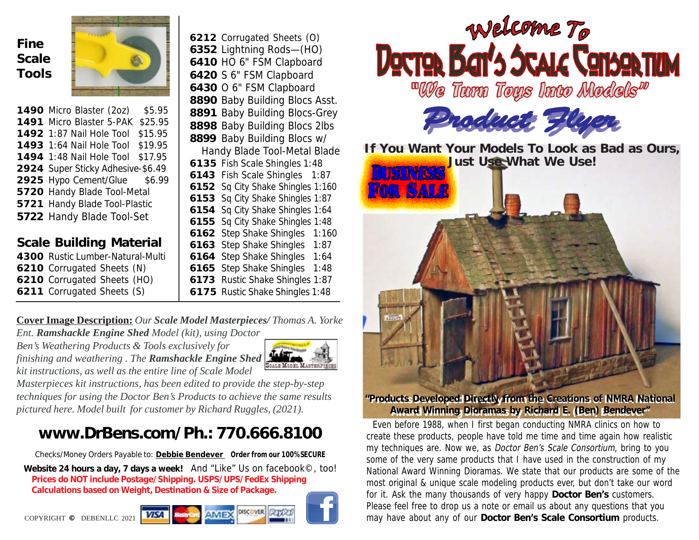## **Fine Scale Tools**



 Micro Blaster (2oz) \$5.95 Micro Blaster 5-PAK \$25.95 1:87 Nail Hole Tool \$15.95 1:64 Nail Hole Tool \$19.95 1:48 Nail Hole Tool \$17.95 Super Sticky Adhesive-\$6.49 Hypo Cement/Glue \$6.99 Handy Blade Tool-Metal Handy Blade Tool-Plastic Handy Blade Tool-Set

### **Scale Building Material**

| 4300 Rustic Lumber-Natural-Multi |
|----------------------------------|
| 6210 Corrugated Sheets (N)       |
| 6210 Corrugated Sheets (HO)      |
| 6211 Corrugated Sheets (S)       |
|                                  |

 Corrugated Sheets (O) Lightning Rods—(HO) HO 6" FSM Clapboard S 6" FSM Clapboard O 6" FSM Clapboard Baby Building Blocs Asst. Baby Building Blocs-Grey Baby Building Blocs 2lbs Baby Building Blocs w/ Handy Blade Tool-Metal Blade

 Fish Scale Shingles 1:48 Fish Scale Shingles 1:87 Sq City Shake Shingles 1:160 Sq City Shake Shingles 1:87 Sq City Shake Shingles 1:64 Sq City Shake Shingles 1:48 Step Shake Shingles 1:160 Step Shake Shingles 1:87 Step Shake Shingles 1:64 Step Shake Shingles 1:48 Rustic Shake Shingles 1:87 Rustic Shake Shingles 1:48

#### **Cover Image Description:** *Our Scale Model Masterpieces/ Thomas A. Yorke Ent. Ramshackle Engine Shed Model (kit), using Doctor*

*Ben's Weathering Products & Tools exclusively for finishing and weathering . The Ramshackle Engine Shed kit instructions, as well as the entire line of Scale Model*



*Masterpieces kit instructions, has been edited to provide the step-by-step techniques for using the Doctor Ben's Products to achieve the same results pictured here. Model built for customer by Richard Ruggles, (2021).*

# **www.DrBens.com/Ph.: 770.666.8100**

Checks/Money Orders Payable to: **Debbie Bendever Order from our 100% SECURE Website 24 hours a day, 7 days a week!** And "Like" Us on facebook©, too! **Prices do NOT include Postage/Shipping. USPS/UPS/FedEx Shipping Calculations based on Weight, Destination & Size of Package.**





#### **"Products Developed Directly from the Creations of NMRA National "Products Developed Directly from the Creations of NMRA National Award Winning Dioramas by Richard E. (Ben) Bendever" Award Winning Dioramas by Richard E. (Ben) Bendever"**

 Even before 1988, when I first began conducting NMRA clinics on how to create these products, people have told me time and time again how realistic my techniques are. Now we, as Doctor Ben's Scale Consortium, bring to you some of the very same products that I have used in the construction of my National Award Winning Dioramas. We state that our products are some of the most original & unique scale modeling products ever, but don't take our word for it. Ask the many thousands of very happy **Doctor Ben's** customers. Please feel free to drop us a note or email us about any questions that you may have about any of our **Doctor Ben's Scale Consortium** products.